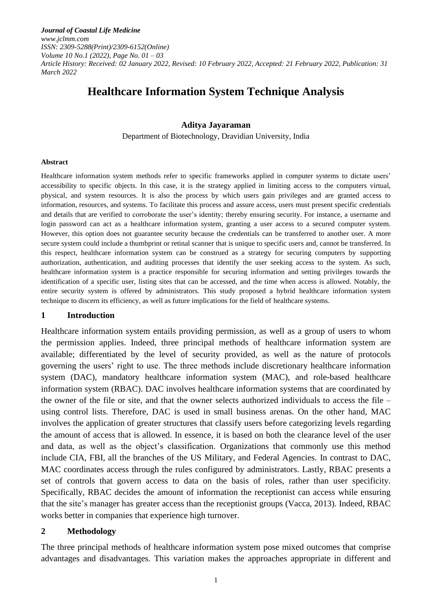*Journal of Coastal Life Medicine www.jclmm.com ISSN: 2309-5288(Print)/2309-6152(Online) Volume 10 No.1 (2022), Page No. 01 – 03 Article History: Received: 02 January 2022, Revised: 10 February 2022, Accepted: 21 February 2022, Publication: 31 March 2022*

# **Healthcare Information System Technique Analysis**

### **Aditya Jayaraman**

Department of Biotechnology, Dravidian University, India

#### **Abstract**

Healthcare information system methods refer to specific frameworks applied in computer systems to dictate users' accessibility to specific objects. In this case, it is the strategy applied in limiting access to the computers virtual, physical, and system resources. It is also the process by which users gain privileges and are granted access to information, resources, and systems. To facilitate this process and assure access, users must present specific credentials and details that are verified to corroborate the user's identity; thereby ensuring security. For instance, a username and login password can act as a healthcare information system, granting a user access to a secured computer system. However, this option does not guarantee security because the credentials can be transferred to another user. A more secure system could include a thumbprint or retinal scanner that is unique to specific users and, cannot be transferred. In this respect, healthcare information system can be construed as a strategy for securing computers by supporting authorization, authentication, and auditing processes that identify the user seeking access to the system. As such, healthcare information system is a practice responsible for securing information and setting privileges towards the identification of a specific user, listing sites that can be accessed, and the time when access is allowed. Notably, the entire security system is offered by administrators. This study proposed a hybrid healthcare information system technique to discern its efficiency, as well as future implications for the field of healthcare systems.

### **1 Introduction**

Healthcare information system entails providing permission, as well as a group of users to whom the permission applies. Indeed, three principal methods of healthcare information system are available; differentiated by the level of security provided, as well as the nature of protocols governing the users' right to use. The three methods include discretionary healthcare information system (DAC), mandatory healthcare information system (MAC), and role-based healthcare information system (RBAC). DAC involves healthcare information systems that are coordinated by the owner of the file or site, and that the owner selects authorized individuals to access the file – using control lists. Therefore, DAC is used in small business arenas. On the other hand, MAC involves the application of greater structures that classify users before categorizing levels regarding the amount of access that is allowed. In essence, it is based on both the clearance level of the user and data, as well as the object's classification. Organizations that commonly use this method include CIA, FBI, all the branches of the US Military, and Federal Agencies. In contrast to DAC, MAC coordinates access through the rules configured by administrators. Lastly, RBAC presents a set of controls that govern access to data on the basis of roles, rather than user specificity. Specifically, RBAC decides the amount of information the receptionist can access while ensuring that the site's manager has greater access than the receptionist groups (Vacca, 2013). Indeed, RBAC works better in companies that experience high turnover.

### **2 Methodology**

The three principal methods of healthcare information system pose mixed outcomes that comprise advantages and disadvantages. This variation makes the approaches appropriate in different and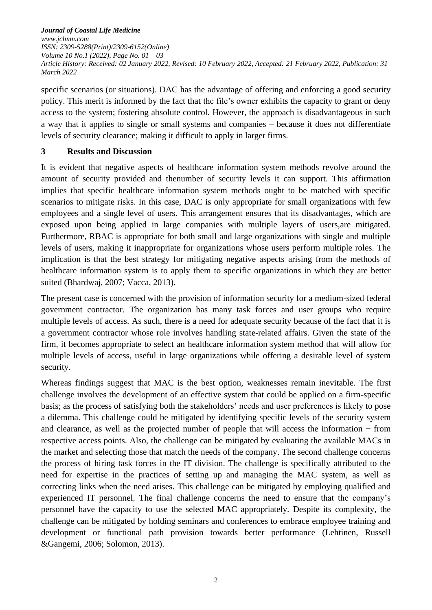*Journal of Coastal Life Medicine www.jclmm.com ISSN: 2309-5288(Print)/2309-6152(Online) Volume 10 No.1 (2022), Page No. 01 – 03 Article History: Received: 02 January 2022, Revised: 10 February 2022, Accepted: 21 February 2022, Publication: 31 March 2022*

specific scenarios (or situations). DAC has the advantage of offering and enforcing a good security policy. This merit is informed by the fact that the file's owner exhibits the capacity to grant or deny access to the system; fostering absolute control. However, the approach is disadvantageous in such a way that it applies to single or small systems and companies – because it does not differentiate levels of security clearance; making it difficult to apply in larger firms.

# **3 Results and Discussion**

It is evident that negative aspects of healthcare information system methods revolve around the amount of security provided and thenumber of security levels it can support. This affirmation implies that specific healthcare information system methods ought to be matched with specific scenarios to mitigate risks. In this case, DAC is only appropriate for small organizations with few employees and a single level of users. This arrangement ensures that its disadvantages, which are exposed upon being applied in large companies with multiple layers of users,are mitigated. Furthermore, RBAC is appropriate for both small and large organizations with single and multiple levels of users, making it inappropriate for organizations whose users perform multiple roles. The implication is that the best strategy for mitigating negative aspects arising from the methods of healthcare information system is to apply them to specific organizations in which they are better suited (Bhardwaj, 2007; Vacca, 2013).

The present case is concerned with the provision of information security for a medium-sized federal government contractor. The organization has many task forces and user groups who require multiple levels of access. As such, there is a need for adequate security because of the fact that it is a government contractor whose role involves handling state-related affairs. Given the state of the firm, it becomes appropriate to select an healthcare information system method that will allow for multiple levels of access, useful in large organizations while offering a desirable level of system security.

Whereas findings suggest that MAC is the best option, weaknesses remain inevitable. The first challenge involves the development of an effective system that could be applied on a firm-specific basis; as the process of satisfying both the stakeholders' needs and user preferences is likely to pose a dilemma. This challenge could be mitigated by identifying specific levels of the security system and clearance, as well as the projected number of people that will access the information − from respective access points. Also, the challenge can be mitigated by evaluating the available MACs in the market and selecting those that match the needs of the company. The second challenge concerns the process of hiring task forces in the IT division. The challenge is specifically attributed to the need for expertise in the practices of setting up and managing the MAC system, as well as correcting links when the need arises. This challenge can be mitigated by employing qualified and experienced IT personnel. The final challenge concerns the need to ensure that the company's personnel have the capacity to use the selected MAC appropriately. Despite its complexity, the challenge can be mitigated by holding seminars and conferences to embrace employee training and development or functional path provision towards better performance (Lehtinen, Russell &Gangemi, 2006; Solomon, 2013).